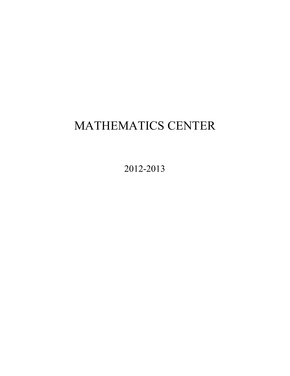# MATHEMATICS CENTER

2012-2013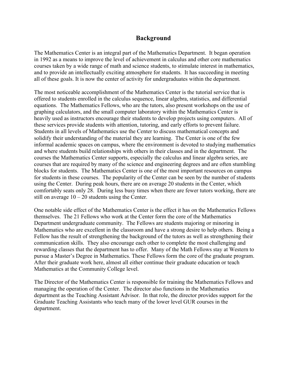# **Background**

The Mathematics Center is an integral part of the Mathematics Department. It began operation in 1992 as a means to improve the level of achievement in calculus and other core mathematics courses taken by a wide range of math and science students, to stimulate interest in mathematics, and to provide an intellectually exciting atmosphere for students. It has succeeding in meeting all of these goals. It is now the center of activity for undergraduates within the department.

 The most noticeable accomplishment of the Mathematics Center is the tutorial service that is heavily used as instructors encourage their students to develop projects using computers. All of courses the Mathematics Center supports, especially the calculus and linear algebra series, are offered to students enrolled in the calculus sequence, linear algebra, statistics, and differential equations. The Mathematics Fellows, who are the tutors, also present workshops on the use of graphing calculators, and the small computer laboratory within the Mathematics Center is these services provide students with attention, tutoring, and early efforts to prevent failure. Students in all levels of Mathematics use the Center to discuss mathematical concepts and solidify their understanding of the material they are learning. The Center is one of the few informal academic spaces on campus, where the environment is devoted to studying mathematics and where students build relationships with others in their classes and in the department. The courses that are required by many of the science and engineering degrees and are often stumbling blocks for students. The Mathematics Center is one of the most important resources on campus for students in these courses. The popularity of the Center can be seen by the number of students using the Center. During peak hours, there are on average 20 students in the Center, which comfortably seats only 28. During less busy times when there are fewer tutors working, there are still on average  $10 - 20$  students using the Center.

 themselves. The 21 Fellows who work at the Center form the core of the Mathematics rewarding classes that the department has to offer. Many of the Math Fellows stay at Western to One notable side effect of the Mathematics Center is the effect it has on the Mathematics Fellows Department undergraduate community. The Fellows are students majoring or minoring in Mathematics who are excellent in the classroom and have a strong desire to help others. Being a Fellow has the result of strengthening the background of the tutors as well as strengthening their communication skills. They also encourage each other to complete the most challenging and pursue a Master's Degree in Mathematics. These Fellows form the core of the graduate program. After their graduate work here, almost all either continue their graduate education or teach Mathematics at the Community College level.

The Director of the Mathematics Center is responsible for training the Mathematics Fellows and managing the operation of the Center. The director also functions in the Mathematics department as the Teaching Assistant Advisor. In that role, the director provides support for the Graduate Teaching Assistants who teach many of the lower level GUR courses in the department.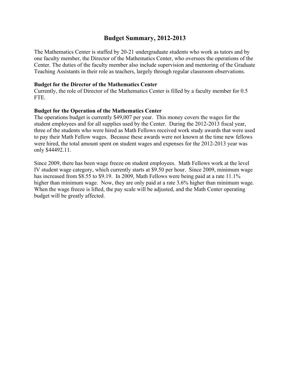# **Budget Summary, 2012-2013**

The Mathematics Center is staffed by 20-21 undergraduate students who work as tutors and by one faculty member, the Director of the Mathematics Center, who oversees the operations of the Center. The duties of the faculty member also include supervision and mentoring of the Graduate Teaching Assistants in their role as teachers, largely through regular classroom observations.

#### **Budget for the Director of the Mathematics Center**

Currently, the role of Director of the Mathematics Center is filled by a faculty member for 0.5 FTE.

#### **Budget for the Operation of the Mathematics Center**

The operations budget is currently \$49,007 per year. This money covers the wages for the student employees and for all supplies used by the Center. During the 2012-2013 fiscal year, three of the students who were hired as Math Fellows received work study awards that were used to pay their Math Fellow wages. Because these awards were not known at the time new fellows were hired, the total amount spent on student wages and expenses for the 2012-2013 year was only [\\$44492.11](https://44492.11).

 Since 2009, there has been wage freeze on student employees. Math Fellows work at the level IV student wage category, which currently starts at \$9.50 per hour. Since 2009, minimum wage has increased from \$8.55 to \$9.19. In 2009, Math Fellows were being paid at a rate 11.1% higher than minimum wage. Now, they are only paid at a rate 3.6% higher than minimum wage. When the wage freeze is lifted, the pay scale will be adjusted, and the Math Center operating budget will be greatly affected.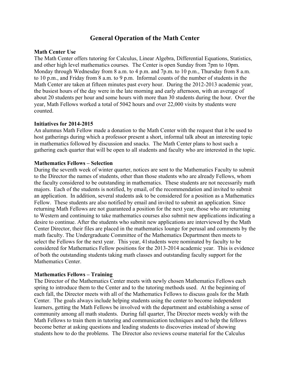# **General Operation of the Math Center**

#### **Math Center Use**

 about 20 students per hour and some hours with more than 30 students during the hour. Over the The Math Center offers tutoring for Calculus, Linear Algebra, Differential Equations, Statistics, and other high level mathematics courses. The Center is open Sunday from 7pm to 10pm. Monday through Wednesday from 8 a.m. to 4 p.m. and 7p.m. to 10 p.m., Thursday from 8 a.m. to 10 p.m., and Friday from 8 a.m. to 9 p.m. Informal counts of the number of students in the Math Center are taken at fifteen minutes past every hour. During the 2012-2013 academic year, the busiest hours of the day were in the late morning and early afternoon, with an average of year, Math Fellows worked a total of 5042 hours and over 22,000 visits by students were counted.

#### **Initiatives for 2014-2015**

An alumnus Math Fellow made a donation to the Math Center with the request that it be used to host gatherings during which a professor present a short, informal talk about an interesting topic in mathematics followed by discussion and snacks. The Math Center plans to host such a gathering each quarter that will be open to all students and faculty who are interested in the topic.

#### **Mathematics Fellows – Selection**

 desire to continue. After the students who submit new applications are interviewed by the Math of both the outstanding students taking math classes and outstanding faculty support for the During the seventh week of winter quarter, notices are sent to the Mathematics Faculty to submit to the Director the names of students, other than those students who are already Fellows, whom the faculty considered to be outstanding in mathematics. These students are not necessarily math majors. Each of the students is notified, by email, of the recommendation and invited to submit an application. In addition, several students ask to be considered for a position as a Mathematics Fellow. These students are also notified by email and invited to submit an application. Since returning Math Fellows are not guaranteed a position for the next year, those who are returning to Western and continuing to take mathematics courses also submit new applications indicating a Center Director, their files are placed in the mathematics lounge for perusal and comments by the math faculty. The Undergraduate Committee of the Mathematics Department then meets to select the Fellows for the next year. This year, 41students were nominated by faculty to be considered for Mathematics Fellow positions for the 2013-2014 academic year. This is evidence Mathematics Center.

#### **Mathematics Fellows – Training**

 students how to do the problems. The Director also reviews course material for the Calculus The Director of the Mathematics Center meets with newly chosen Mathematics Fellows each spring to introduce them to the Center and to the tutoring methods used. At the beginning of each fall, the Director meets with all of the Mathematics Fellows to discuss goals for the Math Center. The goals always include helping students using the center to become independent learners, getting the Math Fellows be involved with the department and establishing a sense of community among all math students. During fall quarter, The Director meets weekly with the Math Fellows to train them in tutoring and communication techniques and to help the fellows become better at asking questions and leading students to discoveries instead of showing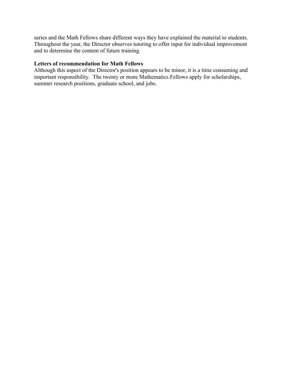and to determine the content of future training. series and the Math Fellows share different ways they have explained the material to students. Throughout the year, the Director observes tutoring to offer input for individual improvement

## **Letters of recommendation for Math Fellows**

 important responsibility. The twenty or more Mathematics Fellows apply for scholarships, Although this aspect of the Director's position appears to be minor, it is a time consuming and summer research positions, graduate school, and jobs.